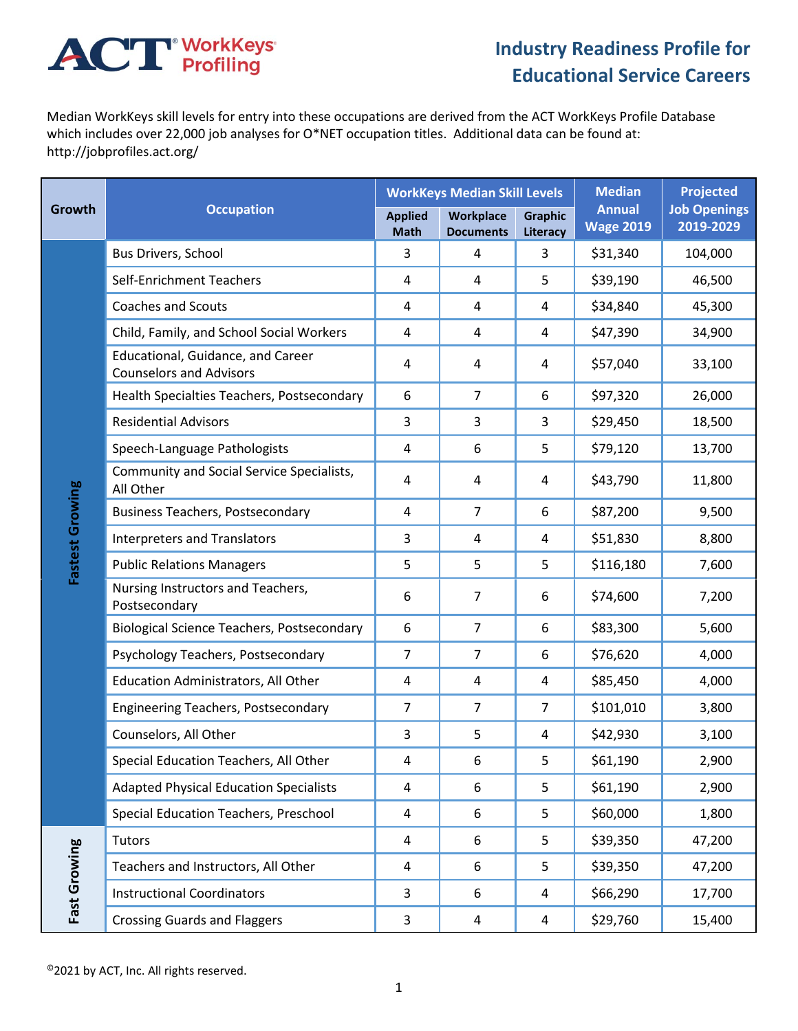## **ACT** WorkKeys

## **Industry Readiness Profile for Educational Service Careers**

Median WorkKeys skill levels for entry into these occupations are derived from the ACT WorkKeys Profile Database which includes over 22,000 job analyses for O\*NET occupation titles. Additional data can be found at: http://jobprofiles.act.org/

| Growth          | <b>Occupation</b>                                                   |                               | <b>WorkKeys Median Skill Levels</b>  |                            | <b>Median</b><br><b>Annual</b><br><b>Wage 2019</b> | <b>Projected</b><br><b>Job Openings</b><br>2019-2029 |
|-----------------|---------------------------------------------------------------------|-------------------------------|--------------------------------------|----------------------------|----------------------------------------------------|------------------------------------------------------|
|                 |                                                                     | <b>Applied</b><br><b>Math</b> | <b>Workplace</b><br><b>Documents</b> | <b>Graphic</b><br>Literacy |                                                    |                                                      |
| Fastest Growing | Bus Drivers, School                                                 | 3                             | 4                                    | 3                          | \$31,340                                           | 104,000                                              |
|                 | Self-Enrichment Teachers                                            | 4                             | 4                                    | 5                          | \$39,190                                           | 46,500                                               |
|                 | <b>Coaches and Scouts</b>                                           | 4                             | 4                                    | 4                          | \$34,840                                           | 45,300                                               |
|                 | Child, Family, and School Social Workers                            | 4                             | 4                                    | 4                          | \$47,390                                           | 34,900                                               |
|                 | Educational, Guidance, and Career<br><b>Counselors and Advisors</b> | 4                             | 4                                    | 4                          | \$57,040                                           | 33,100                                               |
|                 | Health Specialties Teachers, Postsecondary                          | 6                             | $\overline{7}$                       | 6                          | \$97,320                                           | 26,000                                               |
|                 | <b>Residential Advisors</b>                                         | 3                             | 3                                    | 3                          | \$29,450                                           | 18,500                                               |
|                 | Speech-Language Pathologists                                        | 4                             | 6                                    | 5                          | \$79,120                                           | 13,700                                               |
|                 | Community and Social Service Specialists,<br>All Other              | 4                             | 4                                    | 4                          | \$43,790                                           | 11,800                                               |
|                 | <b>Business Teachers, Postsecondary</b>                             | 4                             | $\overline{7}$                       | 6                          | \$87,200                                           | 9,500                                                |
|                 | <b>Interpreters and Translators</b>                                 | 3                             | $\overline{4}$                       | 4                          | \$51,830                                           | 8,800                                                |
|                 | <b>Public Relations Managers</b>                                    | 5                             | 5                                    | 5                          | \$116,180                                          | 7,600                                                |
|                 | Nursing Instructors and Teachers,<br>Postsecondary                  | 6                             | $\overline{7}$                       | 6                          | \$74,600                                           | 7,200                                                |
|                 | <b>Biological Science Teachers, Postsecondary</b>                   | 6                             | $\overline{7}$                       | 6                          | \$83,300                                           | 5,600                                                |
|                 | Psychology Teachers, Postsecondary                                  | 7                             | $\overline{7}$                       | 6                          | \$76,620                                           | 4,000                                                |
|                 | Education Administrators, All Other                                 | 4                             | 4                                    | 4                          | \$85,450                                           | 4,000                                                |
|                 | <b>Engineering Teachers, Postsecondary</b>                          | 7                             | $\overline{7}$                       | 7                          | \$101,010                                          | 3,800                                                |
|                 | Counselors, All Other                                               | 3                             | 5                                    | 4                          | \$42,930                                           | 3,100                                                |
|                 | Special Education Teachers, All Other                               | 4                             | 6                                    | 5                          | \$61,190                                           | 2,900                                                |
|                 | <b>Adapted Physical Education Specialists</b>                       | 4                             | 6                                    | 5                          | \$61,190                                           | 2,900                                                |
|                 | Special Education Teachers, Preschool                               | 4                             | 6                                    | 5                          | \$60,000                                           | 1,800                                                |
| Fast Growing    | Tutors                                                              | 4                             | 6                                    | 5                          | \$39,350                                           | 47,200                                               |
|                 | Teachers and Instructors, All Other                                 | 4                             | 6                                    | 5                          | \$39,350                                           | 47,200                                               |
|                 | <b>Instructional Coordinators</b>                                   | 3                             | 6                                    | 4                          | \$66,290                                           | 17,700                                               |
|                 | <b>Crossing Guards and Flaggers</b>                                 | 3                             | 4                                    | 4                          | \$29,760                                           | 15,400                                               |

©2021 by ACT, Inc. All rights reserved.